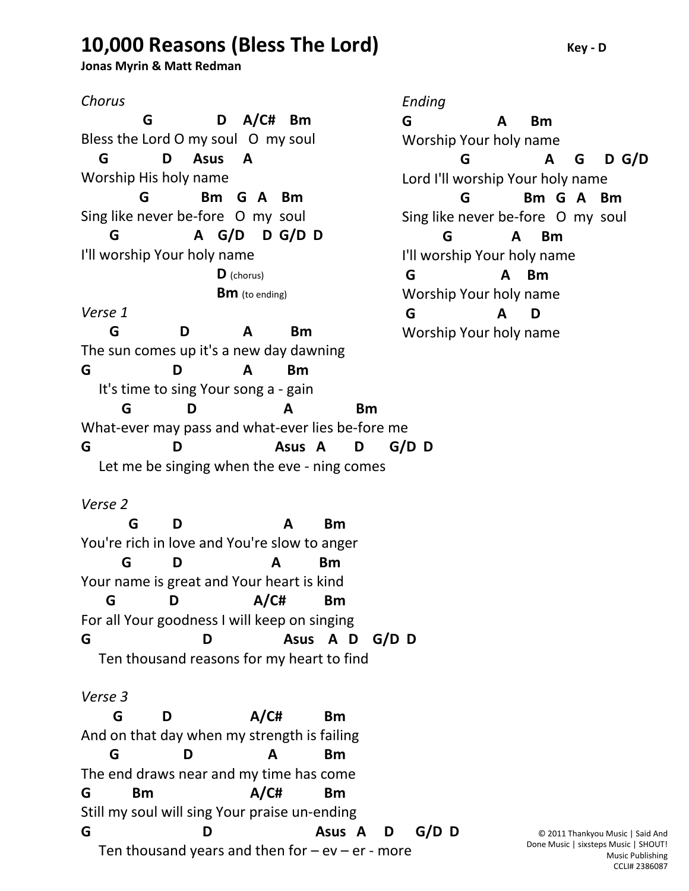## **10,000 Reasons (Bless The Lord) CONSUMBLE ACCESS ASSEM Regular**

**Jonas Myrin & Matt Redman**

*Ending* **G A Bm** Worship Your holy name Lord I'll worship Your holy name Sing like never be-fore O my soul I'll worship Your holy name **G A Bm** Worship Your holy name **G A D** Worship Your holy name *Chorus* **G D A/C# Bm** Bless the Lord O my soul O my soul **G D Asus A** Worship His holy name  **G Bm G A Bm**  Sing like never be-fore O my soul **G A G/D D G/D D** I'll worship Your holy name **D** (chorus) **Bm** (to ending) *Verse 1* **G D A Bm** The sun comes up it's a new day dawning **G D A Bm** It's time to sing Your song a - gain **G D A Bm** What-ever may pass and what-ever lies be-fore me **G D Asus A D G/D D** Let me be singing when the eve - ning comes *Verse 2*  **G D A Bm** You're rich in love and You're slow to anger **G D A Bm** Your name is great and Your heart is kind  **G D A/C# Bm** For all Your goodness I will keep on singing **G D Asus A D G/D D** Ten thousand reasons for my heart to find *Verse 3*  **G D A/C# Bm** And on that day when my strength is failing  **G D A Bm** The end draws near and my time has come **G Bm A/C# Bm** Still my soul will sing Your praise un-ending **G D Asus A D G/D D**

Ten thousand years and then for  $-$  ev  $-$  er - more

© 2011 Thankyou Music | Said And Done Music | sixsteps Music | SHOUT! Music Publishing CCLI# 2386087

 **G A G D G/D**

**G Bm G A Bm**

**G A Bm**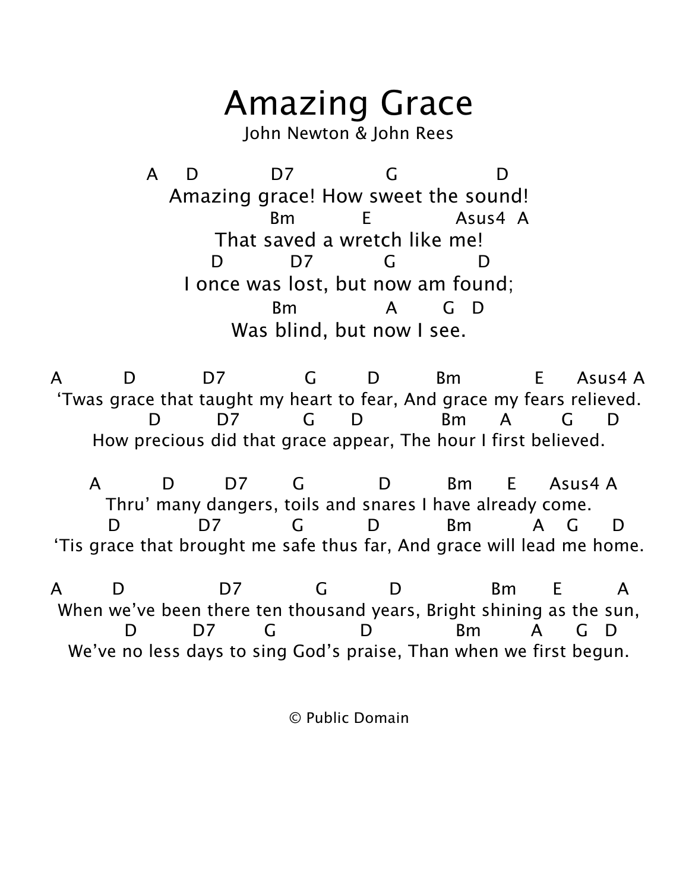## Amazing Grace

John Newton & John Rees

A D D7 G D Amazing grace! How sweet the sound! Bm E Asus4 A That saved a wretch like me! D D7 G D I once was lost, but now am found; Bm A G D Was blind, but now I see.

A D D7 G D Bm E Asus4 A 'Twas grace that taught my heart to fear, And grace my fears relieved. D D7 G D Bm A G D How precious did that grace appear, The hour I first believed.

A D D7 G D Bm E Asus4 A Thru' many dangers, toils and snares I have already come. D D7 G D Bm A G D 'Tis grace that brought me safe thus far, And grace will lead me home.

A D D7 G D Bm E A When we've been there ten thousand years, Bright shining as the sun, D 7 G D Bm A G D We've no less days to sing God's praise, Than when we first begun.

© Public Domain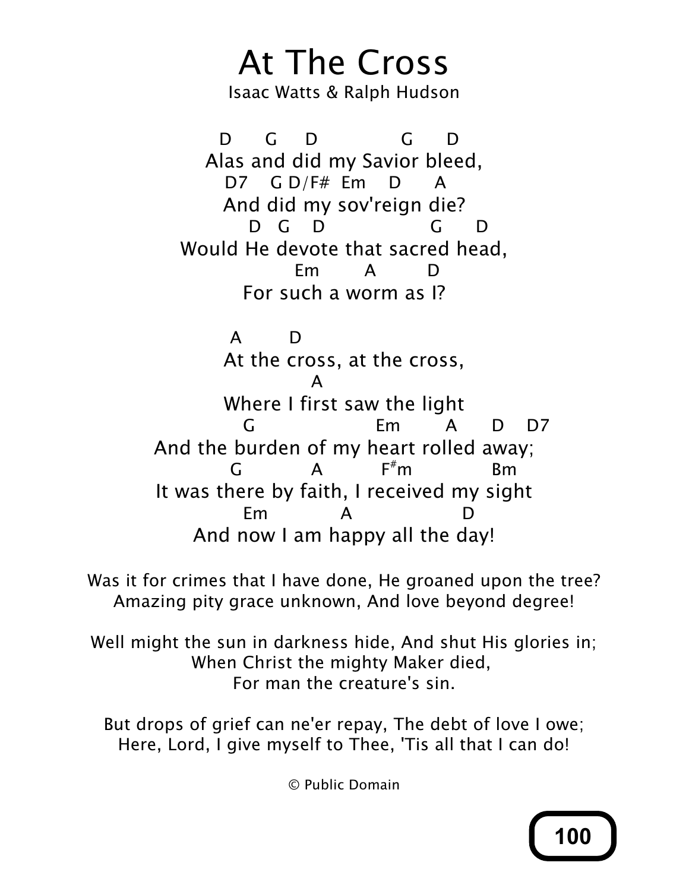## At The Cross Isaac Watts & Ralph Hudson

D G D G D Alas and did my Savior bleed, D7 G D/F# Em D A And did my sov'reign die? D G D G D Would He devote that sacred head, Em A D For such a worm as I?

A D At the cross, at the cross, A Where I first saw the light G Em A D D7 And the burden of my heart rolled away; G A F #m Bm It was there by faith, I received my sight Em A D And now I am happy all the day!

Was it for crimes that I have done, He groaned upon the tree? Amazing pity grace unknown, And love beyond degree!

Well might the sun in darkness hide, And shut His glories in; When Christ the mighty Maker died, For man the creature's sin.

But drops of grief can ne'er repay, The debt of love I owe; Here, Lord, I give myself to Thee, 'Tis all that I can do!

© Public Domain

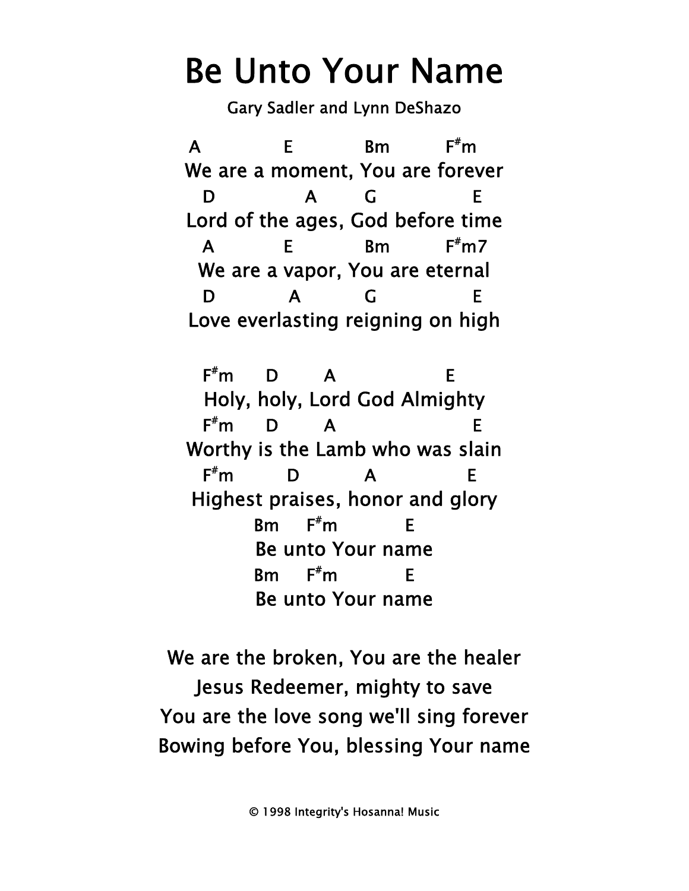# Be Unto Your Name

Gary Sadler and Lynn DeShazo

A  $E$  Bm  $F^*$  $F^{\#}m$ We are a moment, You are forever D A G E Lord of the ages, God before time A E Bm  $F^*$  $F^*m$ 7 We are a vapor, You are eternal D A G E Love everlasting reigning on high

 $F^{\#}m$ m DA E Holy, holy, Lord God Almighty  $F^*m$ m D A E Worthy is the Lamb who was slain  $F^*m$ m D A E Highest praises, honor and glory  $Bm$  $F^{\#}m$  F Be unto Your name  $Bm$  $F^{\#}m$  E Be unto Your name

We are the broken, You are the healer Jesus Redeemer, mighty to save You are the love song we'll sing forever Bowing before You, blessing Your name

© 1998 Integrity's Hosanna! Music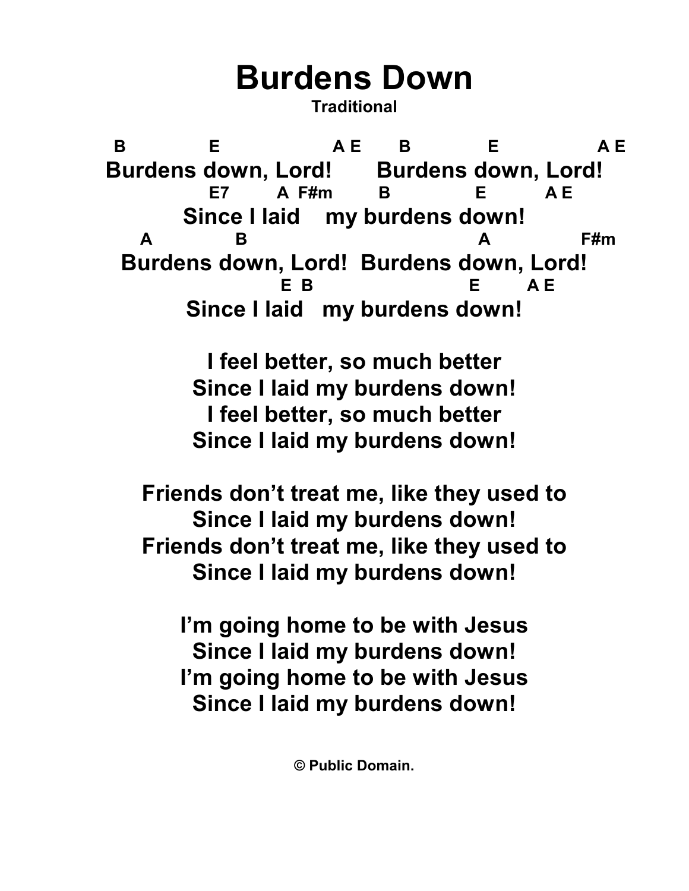# **Burdens Down**

**Traditional**

B E A E B E A E **Burdens down, Lord! Burdens down, Lord! E7 A F#m B E A E Since I laid my burdens down! A** B **A** F#m **Burdens down, Lord! Burdens down, Lord! E B E A E Since I laid my burdens down!**

> **I feel better, so much better Since I laid my burdens down! I feel better, so much better Since I laid my burdens down!**

**Friends don't treat me, like they used to Since I laid my burdens down! Friends don't treat me, like they used to Since I laid my burdens down!**

**I'm going home to be with Jesus Since I laid my burdens down! I'm going home to be with Jesus Since I laid my burdens down!**

**© Public Domain.**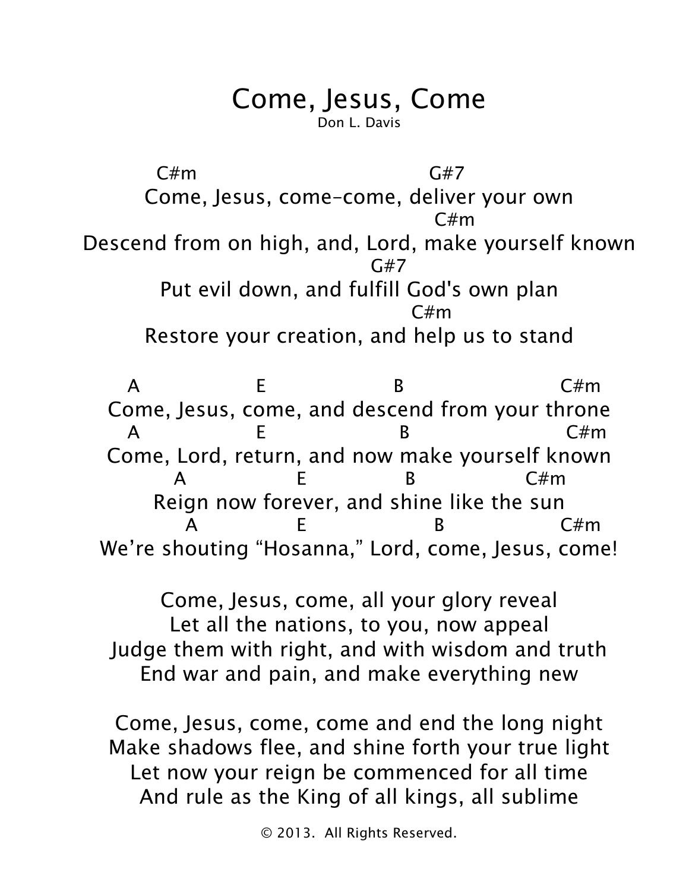## Come, Jesus, Come

Don L. Davis

 $C \# m$   $G \# 7$ Come, Jesus, come–come, deliver your own  $C \# m$ Descend from on high, and, Lord, make yourself known G#7 Put evil down, and fulfill God's own plan  $C \# m$ Restore your creation, and help us to stand

 $A$  E B B C#m Come, Jesus, come, and descend from your throne  $A$  E B B C#m Come, Lord, return, and now make yourself known A E B C#m Reign now forever, and shine like the sun  $A$  E B B C#m We're shouting "Hosanna, " Lord, come, Jesus, come!

Come, Jesus, come, all your glory reveal Let all the nations, to you, now appeal Judge them with right, and with wisdom and truth End war and pain, and make everything new

Come, Jesus, come, come and end the long night Make shadows flee, and shine forth your true light Let now your reign be commenced for all time And rule as the King of all kings, all sublime

© 2013. All Rights Reserved.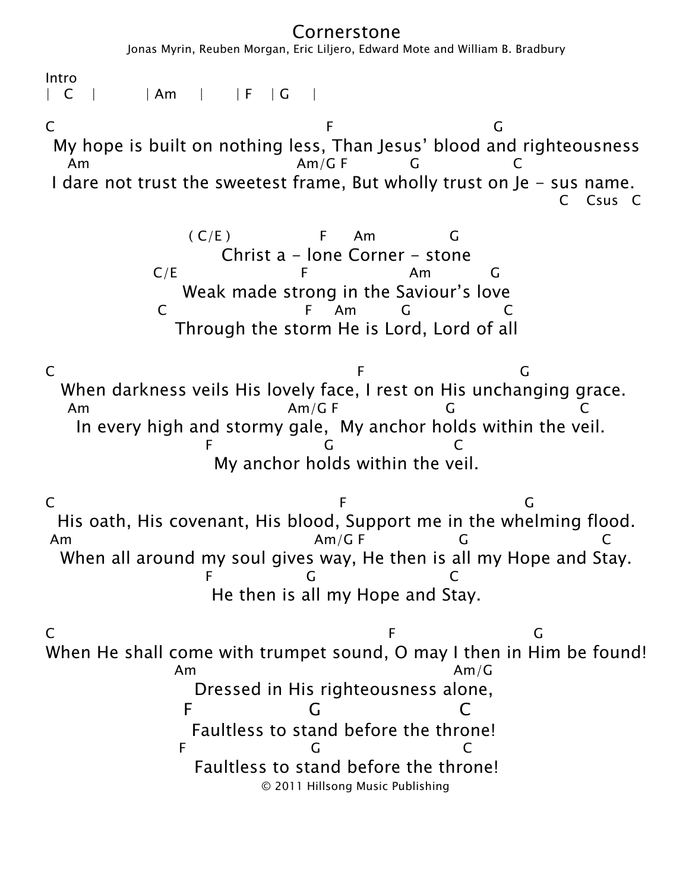Jonas Myrin, Reuben Morgan, Eric Liljero, Edward Mote and William B. Bradbury Intro | C | | Am | | F | G | C G My hope is built on nothing less, Than Jesus' blood and righteousness Am Am/G F G C I dare not trust the sweetest frame, But wholly trust on Je - sus name. C Csus C  $(C/E)$  F Am G Christ a - lone Corner - stone C/E F Am G Weak made strong in the Saviour's love C F Am G C Through the storm He is Lord, Lord of all C G When darkness veils His lovely face, I rest on His unchanging grace. Am  $Am/G$  F G G  $C$ In every high and stormy gale, My anchor holds within the veil. F G C My anchor holds within the veil. C G His oath, His covenant, His blood, Support me in the whelming flood. Am Am/G F G G C C When all around my soul gives way, He then is all my Hope and Stay. F G C He then is all my Hope and Stay. C G When He shall come with trumpet sound, O may I then in Him be found! Am Am/G Dressed in His righteousness alone, F G C Faultless to stand before the throne! F G C Faultless to stand before the throne! © 2011 Hillsong Music Publishing

Cornerstone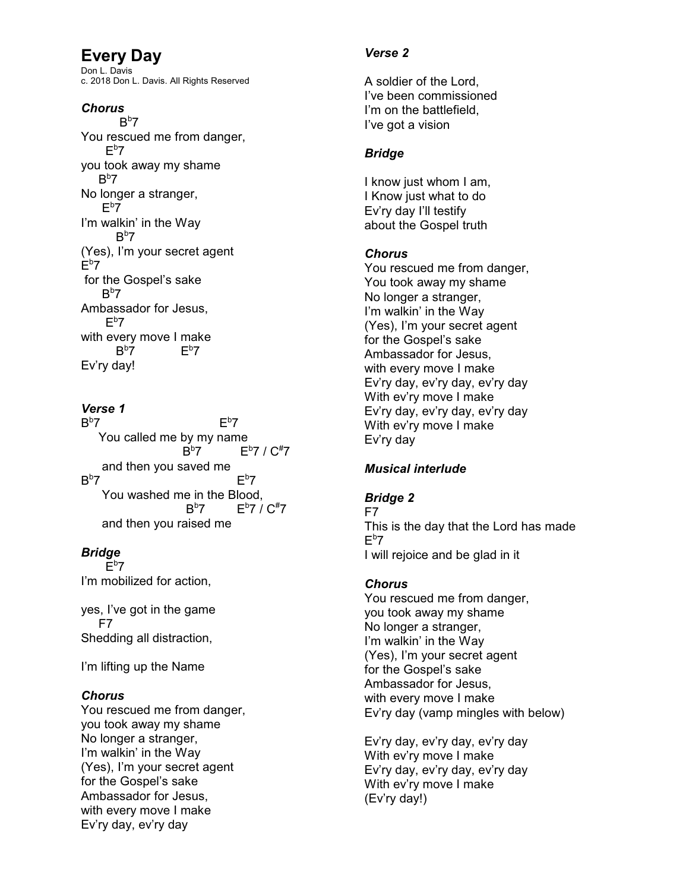### **Every Day**

Don L. Davis c. 2018 Don L. Davis. All Rights Reserved

### *Chorus*

 $B<sup>b</sup>7$ You rescued me from danger,  $E<sup>b</sup>7$ you took away my shame  $B<sup>b</sup>7$ No longer a stranger,  $E<sup>b</sup>7$ I'm walkin' in the Way  $B<sup>b</sup>7$ (Yes), I'm your secret agent  $E^{\rm b}7$ for the Gospel's sake  $B<sup>b</sup>7$ Ambassador for Jesus,  $E<sup>b</sup>7$ with every move I make  $B<sup>b</sup>7$  $E<sup>b</sup>7$ Ev'ry day!

#### *Verse 1*

 $B<sup>b</sup>7$  $^{\text{b}}$ 7 E  $E^{b}7$  You called me by my name **B** B B B B B  $B<sup>b</sup>7$ <sup>b</sup>7 / C #7 and then you saved me  $B<sup>b</sup>7$  $^{\text{b}}$ 7 E  $F^{b}7$  You washed me in the Blood, **B** B B B B B  $B<sup>b</sup>7$ <sup>b</sup>7 / C #7 and then you raised me

### *Bridge*

 $E<sup>b</sup>7$ I'm mobilized for action,

yes, I've got in the game F7 Shedding all distraction,

I'm lifting up the Name

### *Chorus*

You rescued me from danger, you took away my shame No longer a stranger, I'm walkin' in the Way (Yes), I'm your secret agent for the Gospel's sake Ambassador for Jesus, with every move I make Ev'ry day, ev'ry day

### *Verse 2*

A soldier of the Lord, I've been commissioned I'm on the battlefield, I've got a vision

### *Bridge*

I know just whom I am, I Know just what to do Ev'ry day I'll testify about the Gospel truth

#### *Chorus*

You rescued me from danger, You took away my shame No longer a stranger, I'm walkin' in the Way (Yes), I'm your secret agent for the Gospel's sake Ambassador for Jesus, with every move I make Ev'ry day, ev'ry day, ev'ry day With ev'ry move I make Ev'ry day, ev'ry day, ev'ry day With ev'ry move I make Ev'ry day

### *Musical interlude*

### *Bridge 2*

F7 This is the day that the Lord has made  $E^{\rm b}7$ I will rejoice and be glad in it

### *Chorus*

You rescued me from danger, you took away my shame No longer a stranger, I'm walkin' in the Way (Yes), I'm your secret agent for the Gospel's sake Ambassador for Jesus, with every move I make Ev'ry day (vamp mingles with below)

Ev'ry day, ev'ry day, ev'ry day With ev'ry move I make Ev'ry day, ev'ry day, ev'ry day With ev'ry move I make (Ev'ry day!)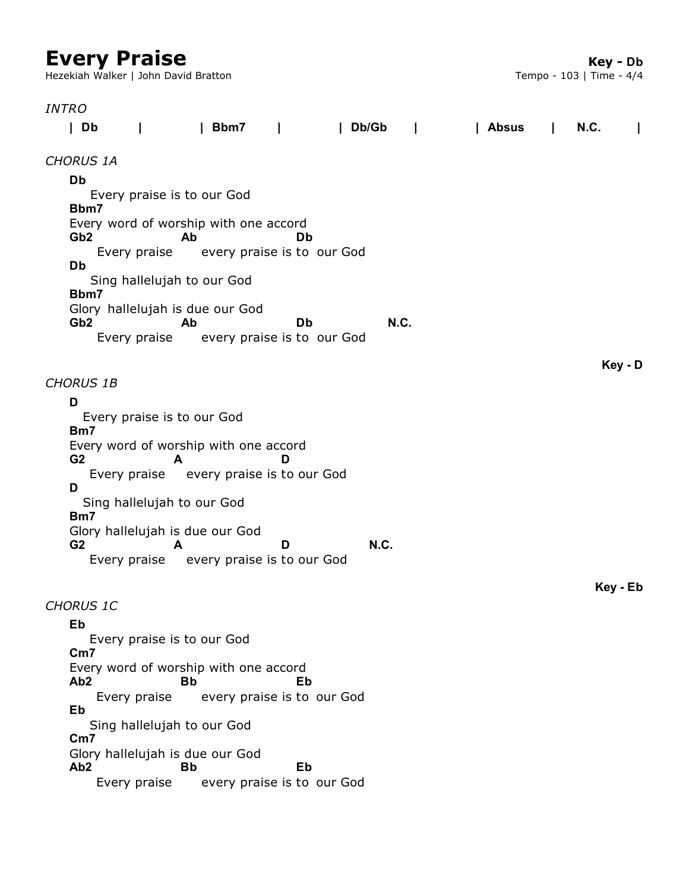## **Every Praise Key-Db**

Hezekiah Walker | John David Bratton Tempo - 103 | Time - 4/4

### *INTRO*

| $\mathsf{I}$ Db                                                             |              | $\mid$ Bbm7                                  |    | $ $ Db/Gb | $\mathbf{I}$ | Absus | L | N.C. |          |
|-----------------------------------------------------------------------------|--------------|----------------------------------------------|----|-----------|--------------|-------|---|------|----------|
| <b>CHORUS 1A</b>                                                            |              |                                              |    |           |              |       |   |      |          |
| Db                                                                          |              |                                              |    |           |              |       |   |      |          |
|                                                                             |              | Every praise is to our God                   |    |           |              |       |   |      |          |
| B <sub>bm</sub> 7                                                           |              | Every word of worship with one accord        |    |           |              |       |   |      |          |
| Gb <sub>2</sub>                                                             |              | Ab                                           | Db |           |              |       |   |      |          |
| Db                                                                          |              | Every praise every praise is to our God      |    |           |              |       |   |      |          |
| Bbm7                                                                        |              | Sing hallelujah to our God                   |    |           |              |       |   |      |          |
| Gb <sub>2</sub>                                                             |              | Glory hallelujah is due our God<br>Ab        | Db |           | N.C.         |       |   |      |          |
|                                                                             | Every praise | every praise is to our God                   |    |           |              |       |   |      |          |
|                                                                             |              |                                              |    |           |              |       |   |      | Key - D  |
| <b>CHORUS 1B</b>                                                            |              |                                              |    |           |              |       |   |      |          |
| D                                                                           |              |                                              |    |           |              |       |   |      |          |
| Bm7                                                                         |              | Every praise is to our God                   |    |           |              |       |   |      |          |
|                                                                             |              | Every word of worship with one accord        |    |           |              |       |   |      |          |
| G <sub>2</sub>                                                              |              |                                              |    |           |              |       |   |      |          |
|                                                                             |              | Every praise every praise is to our God      |    |           |              |       |   |      |          |
| D                                                                           |              | Sing hallelujah to our God                   |    |           |              |       |   |      |          |
| Bm7                                                                         |              |                                              |    |           |              |       |   |      |          |
|                                                                             |              | Glory hallelujah is due our God              |    |           |              |       |   |      |          |
| G <sub>2</sub>                                                              |              | A                                            | D  | N.C.      |              |       |   |      |          |
|                                                                             |              | Every praise every praise is to our God      |    |           |              |       |   |      |          |
|                                                                             |              |                                              |    |           |              |       |   |      | Key - Eb |
| <b>CHORUS 1C</b>                                                            |              |                                              |    |           |              |       |   |      |          |
| Eb                                                                          |              |                                              |    |           |              |       |   |      |          |
| cm7                                                                         |              | Every praise is to our God                   |    |           |              |       |   |      |          |
| Every word of worship with one accord<br>Ab <sub>2</sub><br><b>Bb</b><br>Eb |              |                                              |    |           |              |       |   |      |          |
| Eb                                                                          | Every praise | every praise is to our God                   |    |           |              |       |   |      |          |
| cm7                                                                         |              | Sing hallelujah to our God                   |    |           |              |       |   |      |          |
| Ab <sub>2</sub>                                                             |              | Glory hallelujah is due our God<br><b>Bb</b> | Eb |           |              |       |   |      |          |
|                                                                             | Every praise | every praise is to our God                   |    |           |              |       |   |      |          |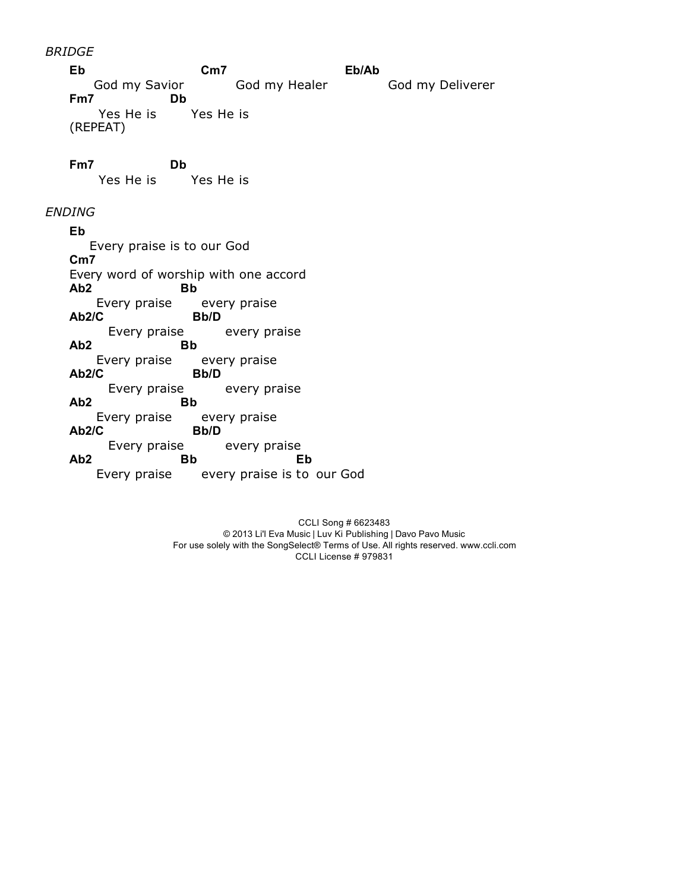*BRIDGE*

God my Savior God my Healer God my Deliverer Yes He is Yes He is (REPEAT) **Eb Cm7 Eb/Ab Fm7** 

 Yes He is Yes He is **Fm7 Db**

### *ENDING*

 Every praise is to our God Every word of worship with one accord Every praise every praise<br>C Bb/D Every praise every praise Every praise every praise<br>C Bb/D Every praise every praise Every praise every praise Every praise every praise Every praise every praise is to our God **Eb Cm7 Ab2 Bb**  $Ab2/C$ **Ab2 Bb Ab2/C Bb/D Ab2 Bb Ab2/C Bb/D Ab2 Bb Eb**

> CCLI Song # 6623483 © 2013 Li'l Eva Music | Luv Ki Publishing | Davo Pavo Music For use solely with the SongSelect<sup>®</sup> [Terms of Use](/about/termsofuse). All rights reserved. [www.ccli.com](http://www.ccli.com) CCLI License # 979831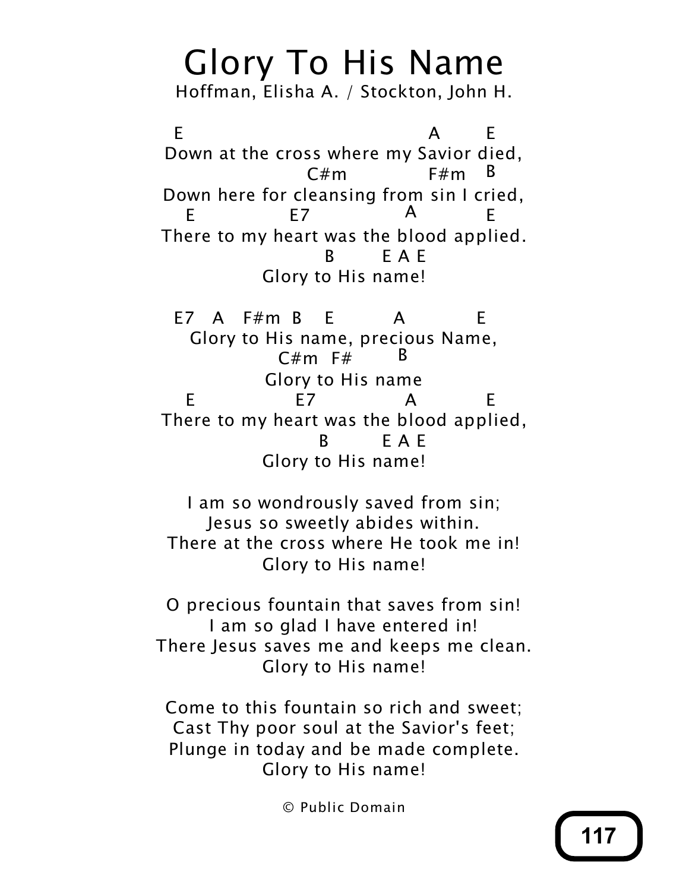# Glory To His Name

Hoffman, Elisha A. / Stockton, John H.

E A E Down at the cross where my Savior died,  $C \# m$   $F \# m$  B Down here for cleansing from sin I cried, E E7 A E There to my heart was the blood applied. B E A E Glory to His name!

E7 A F#m B E A E Glory to His name, precious Name,  $C \# m$  F# B Glory to His name E E7 A E There to my heart was the blood applied, B E A E Glory to His name!

I am so wondrously saved from sin; Jesus so sweetly abides within. There at the cross where He took me in! Glory to His name!

O precious fountain that saves from sin! I am so glad I have entered in! There Jesus saves me and keeps me clean. Glory to His name!

Come to this fountain so rich and sweet; Cast Thy poor soul at the Savior's feet; Plunge in today and be made complete. Glory to His name!

© Public Domain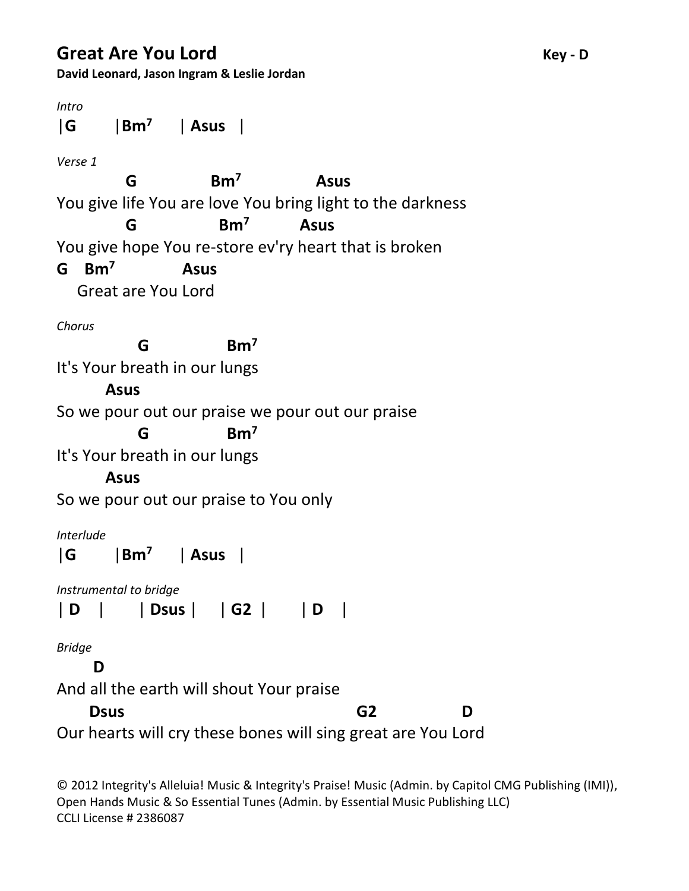### **Great Are You Lord Key - D Key - D**

**David Leonard, Jason Ingram & Leslie Jordan**

### *Intro* |**G** |**Bm<sup>7</sup>** | **Asus** | *Verse 1*  **G Bm<sup>7</sup> Asus** You give life You are love You bring light to the darkness  **G Bm<sup>7</sup> Asus** You give hope You re-store ev'ry heart that is broken **G Bm<sup>7</sup> Asus** Great are You Lord *Chorus* **G Bm<sup>7</sup>** It's Your breath in our lungs  **Asus** So we pour out our praise we pour out our praise **G Bm<sup>7</sup>** It's Your breath in our lungs  **Asus** So we pour out our praise to You only *Interlude* |**G** |**Bm<sup>7</sup>** | **Asus** | *Instrumental to bridge* | **D** | | **Dsus** | | **G2** | | **D** | *Bridge*  **D** And all the earth will shout Your praise  **Dsus G2 D**

Our hearts will cry these bones will sing great are You Lord

© 2012 Integrity's Alleluia! Music & Integrity's Praise! Music (Admin. by Capitol CMG Publishing (IMI)), Open Hands Music & So Essential Tunes (Admin. by Essential Music Publishing LLC) CCLI License # 2386087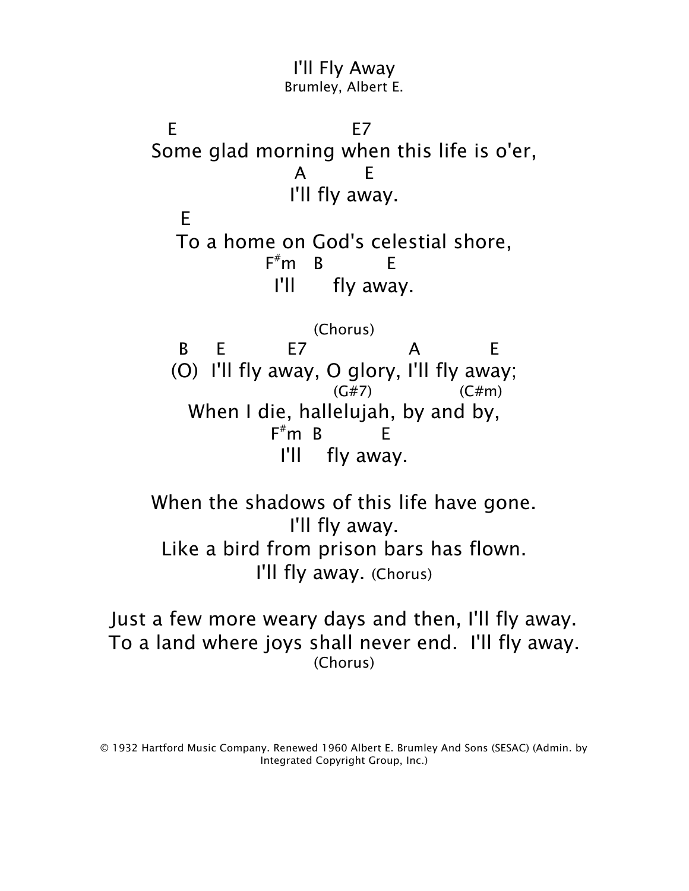I'll Fly Away Brumley, Albert E.

E E7 Some glad morning when this life is o'er, A E I'll fly away. E To a home on God's celestial shore, F #m B E I'll fly away.

(Chorus) B E E7 A E (O) I'll fly away, O glory, I'll fly away;  $(G#7)$   $(C#m)$ When I die, hallelujah, by and by,  $F^{\#}m$  B E I'll fly away.

When the shadows of this life have gone. I'll fly away. Like a bird from prison bars has flown. I'll fly away. (Chorus)

Just a few more weary days and then, I'll fly away. To a land where joys shall never end. I'll fly away. (Chorus)

© 1932 Hartford Music Company. Renewed 1960 Albert E. Brumley And Sons (SESAC) (Admin. by Integrated Copyright Group, Inc.)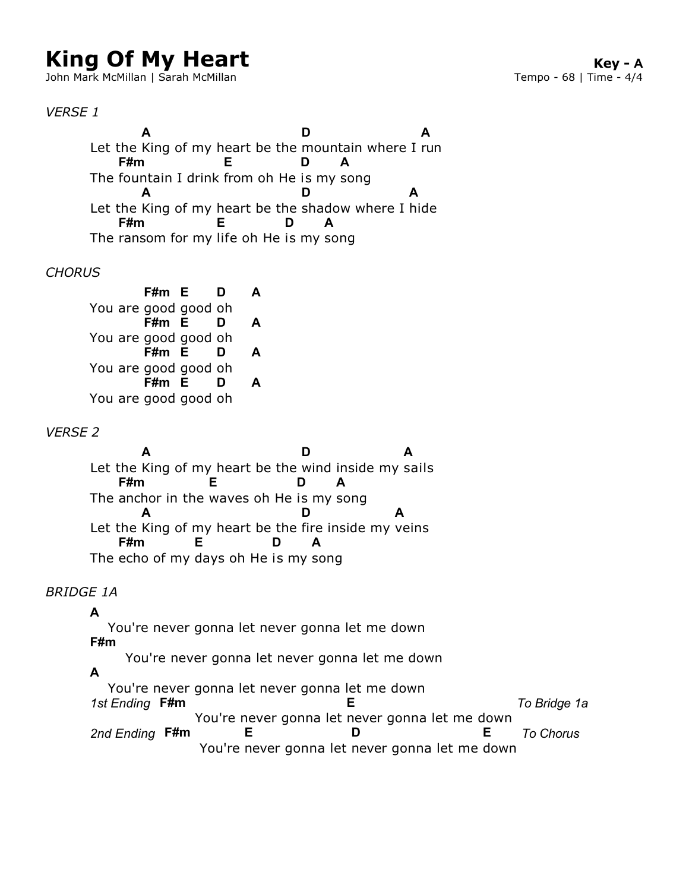## **King Of My Heart King Of My Heart Key - A**<br>
John Mark McMillan | Sarah McMillan

John Mark McMillan | Sarah McMillan

#### *VERSE 1*

Let the King of my heart be the mountain where I run The fountain I drink from oh He is my song Let the King of my heart be the shadow where I hide The ransom for my life oh He is my song **A D A F#m E D A A D A F#m E D A**

### *CHORUS*

 You are good good oh You are good good oh You are good good oh You are good good oh **F#m E D A F#m E D A F#m E D A F#m E D A**

*VERSE 2*

Let the King of my heart be the wind inside my sails The anchor in the waves oh He is my song Let the King of my heart be the fire inside my veins The echo of my days oh He is my song **A D A F#m E D A A D A F#m E D A**

### *BRIDGE 1A*

#### **A**

 You're never gonna let never gonna let me down **F#m**

You're never gonna let never gonna let me down

#### **A**

 You're never gonna let never gonna let me down You're never gonna let never gonna let me down You're never gonna let never gonna let me down *1st Ending* **F#m E** *To Bridge 1a 2nd Ending* **F#m E D E** *To Chorus*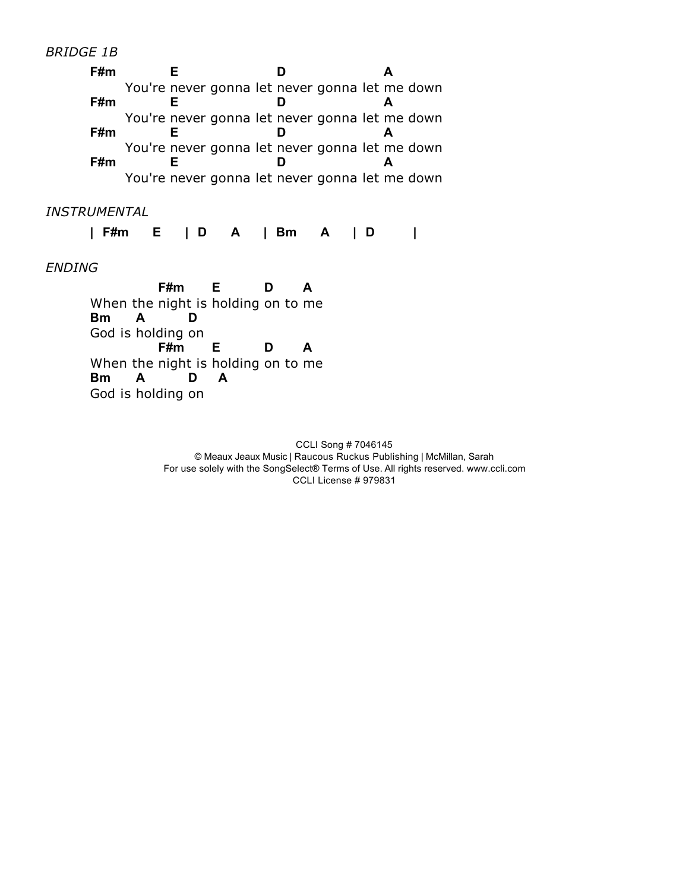*BRIDGE 1B*

You're never gonna let never gonna let me down You're never gonna let never gonna let me down You're never gonna let never gonna let me down You're never gonna let never gonna let me down **F#m E D A F#m E D A F#m E D A F#m E D A**

*INSTRUMENTAL*

**| F#m E | D A | Bm A | D |**

*ENDING*

When the night is holding on to me God is holding on When the night is holding on to me God is holding on **F#m E D A Bm A D F#m E D A Bm A D A**

> CCLI Song # 7046145 © Meaux Jeaux Music | Raucous Ruckus Publishing | McMillan, Sarah For use solely with the SongSelect® [Terms of Use.](/about/termsofuse) All rights reserved. [www.ccli.com](http://www.ccli.com) CCLI License # 979831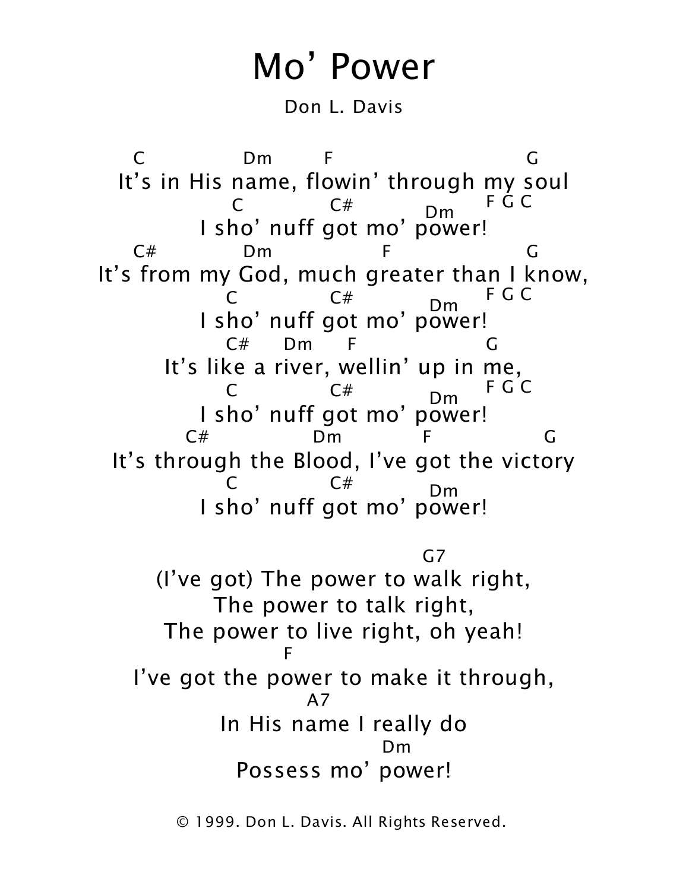# Mo' Power

Don L. Davis

C Dm F G It's in His name, flowin' through my soul C C# Dm F G C I sho' nuff got mo' power! C# Dm F G It's from my God, much greater than I know, <sup>C</sup> C# Dm F G C I sho' nuff got mo' power!  $C#$  Dm F G It's like a river, wellin' up in me, C C# Dm F G C I sho' nuff got mo' power! C# Dm F G It's through the Blood, I've got the victory C C# Dm I sho' nuff got mo' power!  $G<sub>7</sub>$ (I've got) The power to walk right, The power to talk right, The power to live right, oh yeah! F I've got the power to make it through, A7 In His name I really do Dm Possess mo' power!

© 1999. Don L. Davis. All Rights Reserved.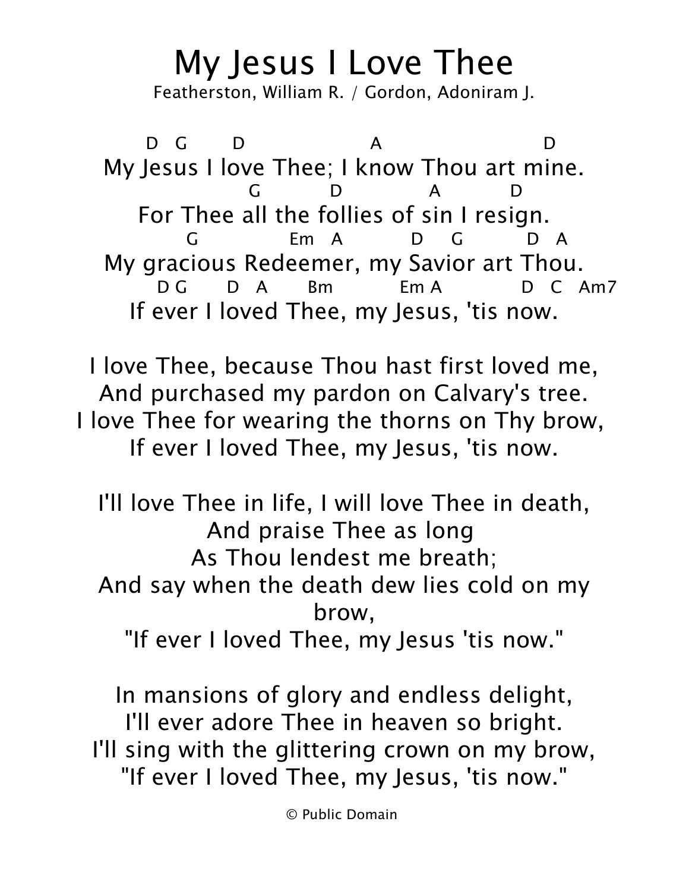# My Jesus I Love Thee

Featherston, William R. / Gordon, Adoniram J.

D G D D A D My Jesus I love Thee; I know Thou art mine. G D A D For Thee all the follies of sin I resign. G Em A D G D A My gracious Redeemer, my Savior art Thou. D G D A Bm Em A D C Am7 If ever I loved Thee, my Jesus, 'tis now.

I love Thee, because Thou hast first loved me, And purchased my pardon on Calvary's tree. I love Thee for wearing the thorns on Thy brow, If ever I loved Thee, my Jesus, 'tis now.

I'll love Thee in life, I will love Thee in death, And praise Thee as long As Thou lendest me breath; And say when the death dew lies cold on my brow, "If ever I loved Thee, my Jesus 'tis now."

In mansions of glory and endless delight, I'll ever adore Thee in heaven so bright. I'll sing with the glittering crown on my brow, "If ever I loved Thee, my Jesus, 'tis now."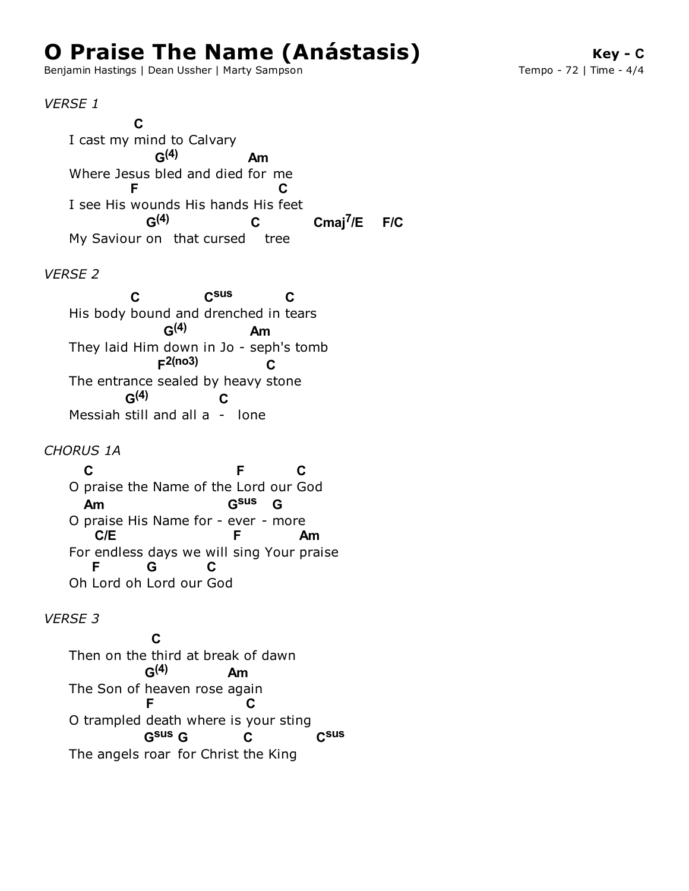## **O Praise The Name (Anástasis)**

Benjamin Hastings | Dean Ussher | Marty Sampson

*VERSE 1*

I cast my mind to Calvary Where Jesus bled and died for me I see His wounds His hands His feet My Saviour on that cursed tree **C**  $G^{(4)}$ **Am F C G(4) C Cmaj7/E F/C**

*VERSE 2*

His body bound and drenched in tears They laid Him down in Jo - seph's tomb The entrance sealed by heavy stone Messiah still and all a - lone **C Csus C**  $G^{(4)}$ **Am F 2(no3) C G(4) C**

*CHORUS 1A*

O praise the Name of the Lord our God O praise His Name for - ever - more For endless days we will sing Your praise Oh Lord oh Lord our God **C F C Am Gsus G C/E F Am F G C**

*VERSE 3*

Then on the third at break of dawn The Son of heaven rose again O trampled death where is your sting The angels roar for Christ the King **C G(4) Am F C Gsus G C Csus**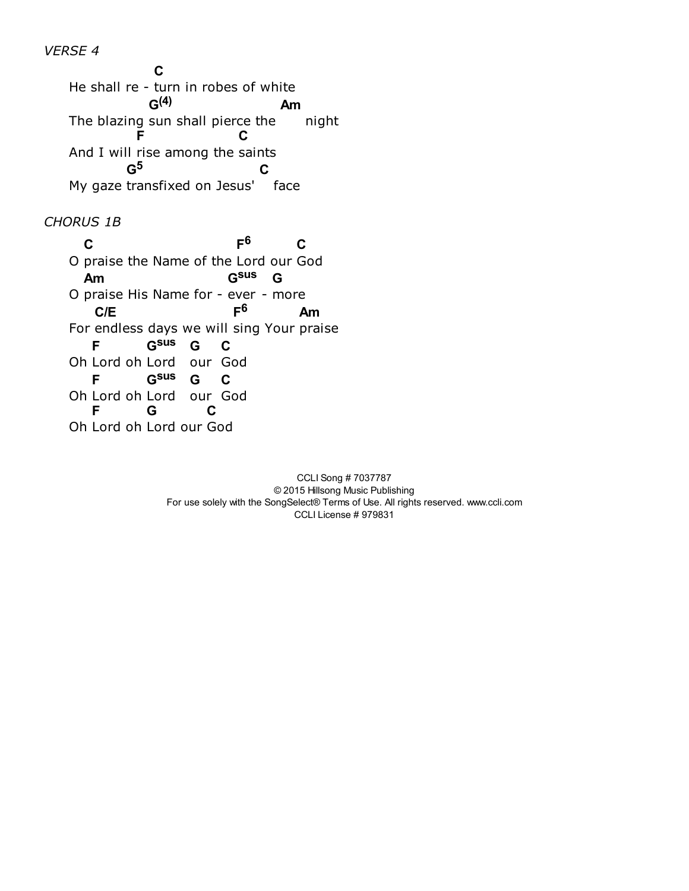*VERSE 4*

He shall re - turn in robes of white The blazing sun shall pierce the night And I will rise among the saints My gaze transfixed on Jesus' face **C G(4) Am F C G5 C**

*CHORUS 1B*

O praise the Name of the Lord our God O praise His Name for - ever - more For endless days we will sing Your praise Oh Lord oh Lord Oh Lord oh Lord our God Oh Lord oh Lord our God **C F 6 C Am Gsus G C/E F 6 Am F Gsus** our God **G C F Gsus G C F G C**

> CCLI Song # 7037787 © 2015 Hillsong Music Publishing For use solely with the SongSelect® [Terms](https://songselect.ccli.com/about/termsofuse) of Use. All rights reserved. [www.ccli.com](http://www.ccli.com) CCLI License # 979831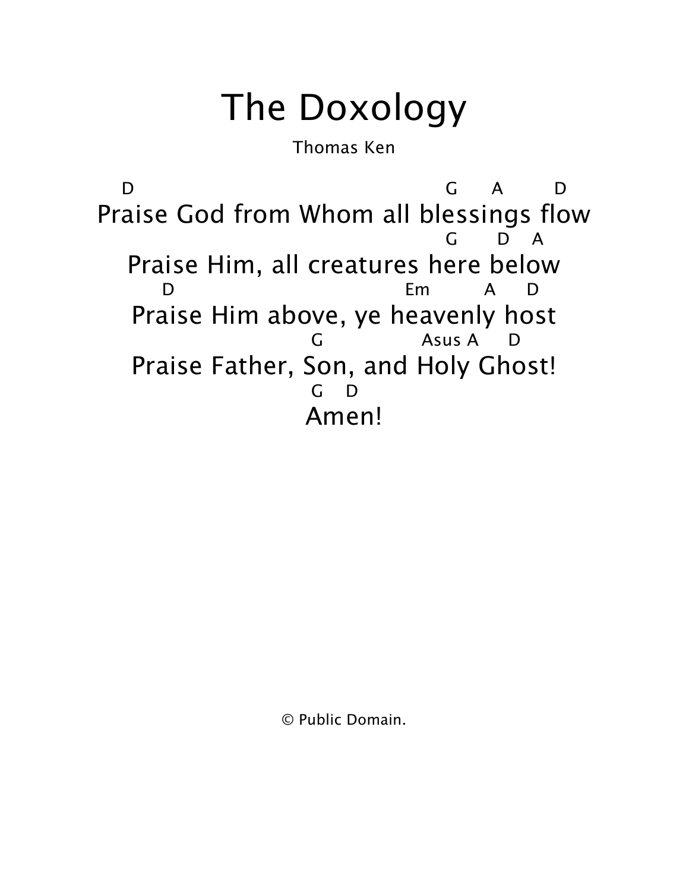# The Doxology

Thomas Ken

D G A D Praise God from Whom all blessings flow G D A Praise Him, all creatures here below D Em A D Praise Him above, ye heavenly host G Asus A D Praise Father, Son, and Holy Ghost! G D Amen!

© Public Domain.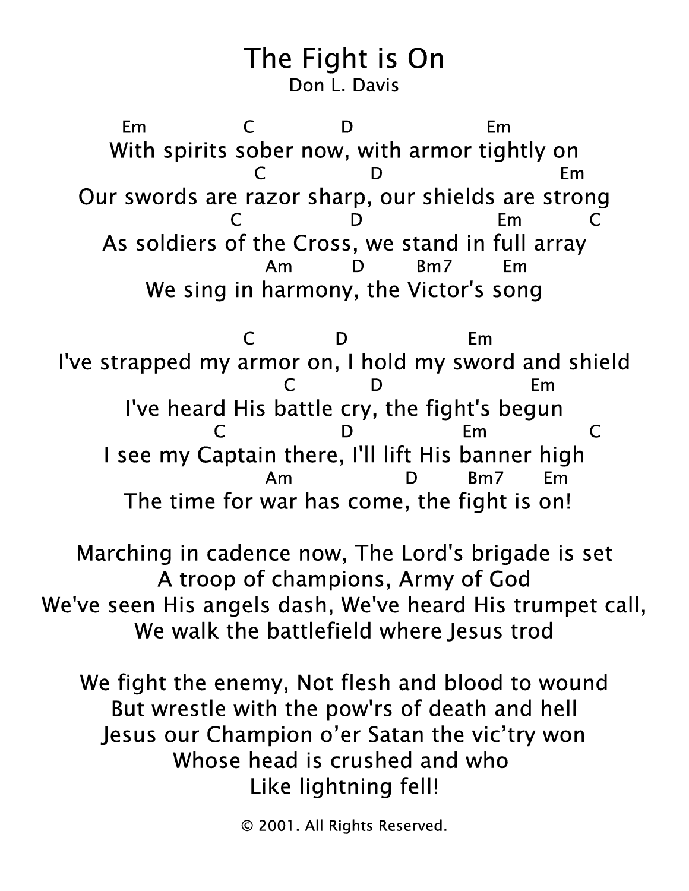## The Fight is On Don L. Davis

Em C D Em With spirits sober now, with armor tightly on C D Em Our swords are razor sharp, our shields are strong C D Em C As soldiers of the Cross, we stand in full array Am D Bm7 Em We sing in harmony, the Victor's song

C D Em I've strapped my armor on, I hold my sword and shield C D Em I've heard His battle cry, the fight's begun C D Em C I see my Captain there, I'll lift His banner high Am D Bm7 Em The time for war has come, the fight is on!

Marching in cadence now, The Lord's brigade is set A troop of champions, Army of God We've seen His angels dash, We've heard His trumpet call, We walk the battlefield where Jesus trod

We fight the enemy, Not flesh and blood to wound But wrestle with the pow'rs of death and hell Jesus our Champion o'er Satan the vic'try won Whose head is crushed and who Like lightning fell!

© 2001. All Rights Reserved.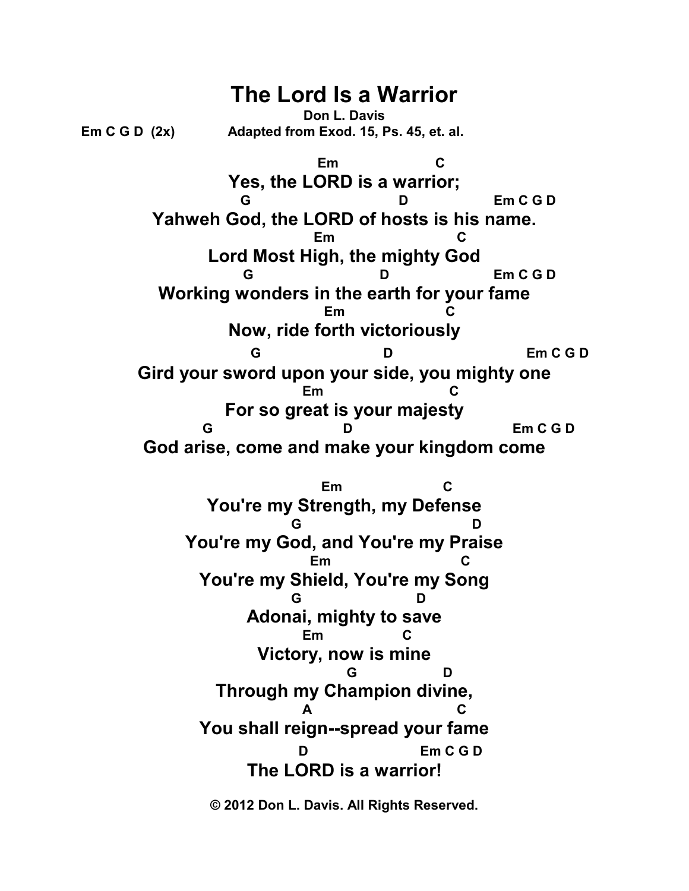**Don L. Davis Em C G D (2x) Adapted from Exod. 15, Ps. 45, et. al. Em C Yes, the LORD is a warrior; G** B D Em C G D **Yahweh God, the LORD of hosts is his name. Em C Lord Most High, the mighty God G D Em C G D Working wonders in the earth for your fame Em C Now, ride forth victoriously G D Em C G D Gird your sword upon your side, you mighty one Em C For so great is your majesty G D Em C G D God arise, come and make your kingdom come**

**The Lord Is a Warrior**

 **Em C You're my Strength, my Defense G D You're my God, and You're my Praise Em C You're my Shield, You're my Song G D Adonai, mighty to save Em C Victory, now is mine G D Through my Champion divine, A C You shall reign--spread your fame D Em C G D The LORD is a warrior!**

**© 2012 Don L. Davis. All Rights Reserved.**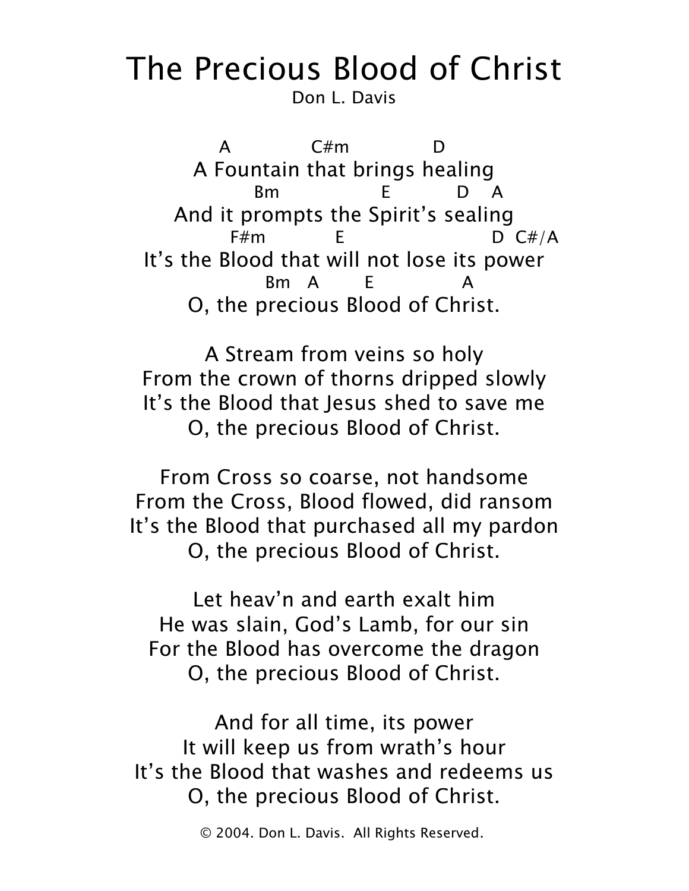## The Precious Blood of Christ

Don L. Davis

A C#m D A Fountain that brings healing Bm E D A And it prompts the Spirit's sealing F#m  $E$  D C#/A It's the Blood that will not lose its power  $Bm \quad A \quad E$ O, the precious Blood of Christ.

A Stream from veins so holy From the crown of thorns dripped slowly It's the Blood that Jesus shed to save me O, the precious Blood of Christ.

From Cross so coarse, not handsome From the Cross, Blood flowed, did ransom It's the Blood that purchased all my pardon O, the precious Blood of Christ.

Let heav'n and earth exalt him He was slain, God's Lamb, for our sin For the Blood has overcome the dragon O, the precious Blood of Christ.

And for all time, its power It will keep us from wrath's hour It's the Blood that washes and redeems us O, the precious Blood of Christ.

© 2004. Don L. Davis. All Rights Reserved.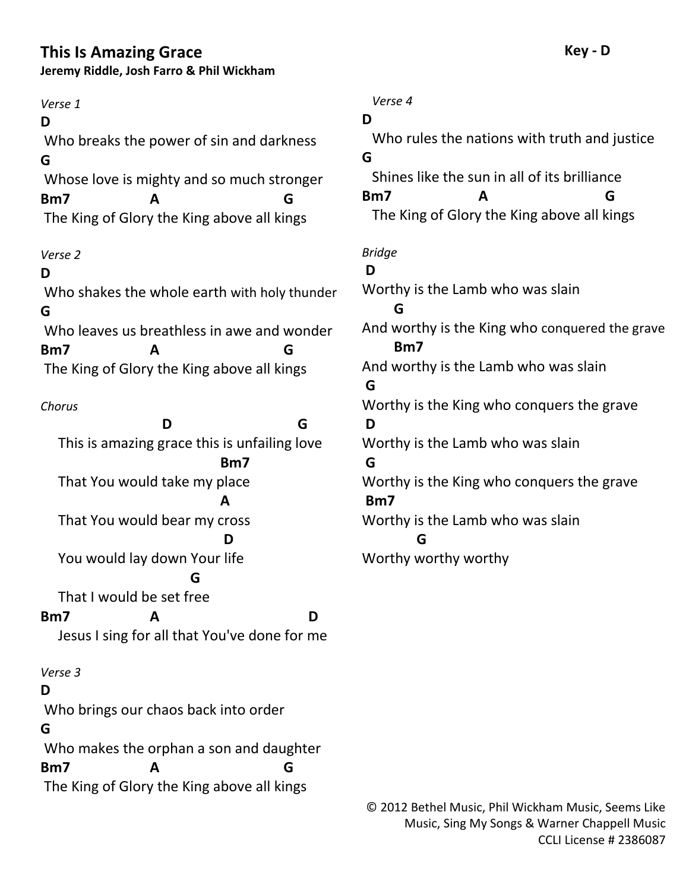### **This Is Amazing Grace**

**Jeremy Riddle, Josh Farro & Phil Wickham**

*Verse 1* **D** Who breaks the power of sin and darkness **G** Whose love is mighty and so much stronger **Bm7 A G** The King of Glory the King above all kings *Verse 2* **D** Who shakes the whole earth with holy thunder **G** Who leaves us breathless in awe and wonder **Bm7 A G** The King of Glory the King above all kings *Chorus* **D G** This is amazing grace this is unfailing love **Bm7** That You would take my place **A** That You would bear my cross **D** You would lay down Your life

 **G** That I would be set free

**Bm7 A D**  Jesus I sing for all that You've done for me

### *Verse 3*

**D**

Who brings our chaos back into order **G** Who makes the orphan a son and daughter **Bm7 A G** The King of Glory the King above all kings

*Verse 4*

### **D**

Who rules the nations with truth and justice **G** Shines like the sun in all of its brilliance **Bm7 A G** The King of Glory the King above all kings *Bridge* **D** Worthy is the Lamb who was slain  **G** And worthy is the King who conquered the grave  **Bm7** And worthy is the Lamb who was slain **G** Worthy is the King who conquers the grave **D** Worthy is the Lamb who was slain **G** Worthy is the King who conquers the grave **Bm7** Worthy is the Lamb who was slain **G**

Worthy worthy worthy

© 2012 Bethel Music, Phil Wickham Music, Seems Like Music, Sing My Songs & Warner Chappell Music CCLI License # 2386087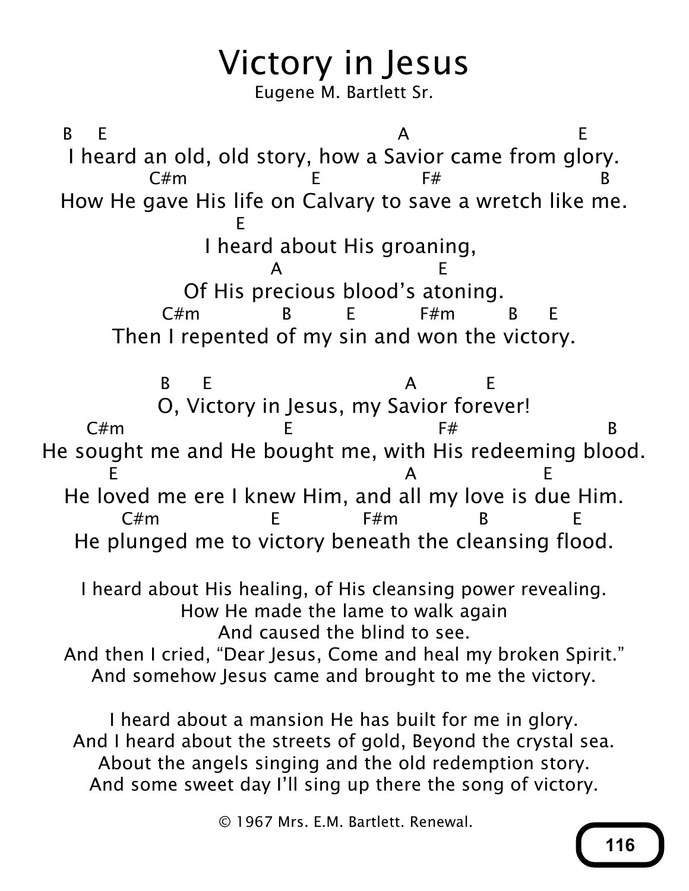# Victory in Jesus

Eugene M. Bartlett Sr.

B E A E I heard an old, old story, how a Savior came from glory.  $C \# m$  E F# B How He gave His life on Calvary to save a wretch like me. E I heard about His groaning, A E Of His precious blood's atoning. C#m B E F#m B E Then I repented of my sin and won the victory. B E A E O, Victory in Jesus, my Savior forever!  $C \# m$  E F# B He sought me and He bought me, with His redeeming blood. E A E He loved me ere I knew Him, and all my love is due Him. C#m E F#m B E He plunged me to victory beneath the cleansing flood. I heard about His healing, of His cleansing power revealing. How He made the lame to walk again And caused the blind to see. And then I cried, "Dear Jesus, Come and heal my broken Spirit."

And somehow Jesus came and brought to me the victory.

I heard about a mansion He has built for me in glory. And I heard about the streets of gold, Beyond the crystal sea. About the angels singing and the old redemption story. And some sweet day I'll sing up there the song of victory.

© 1967 Mrs. E.M. Bartlett. Renewal.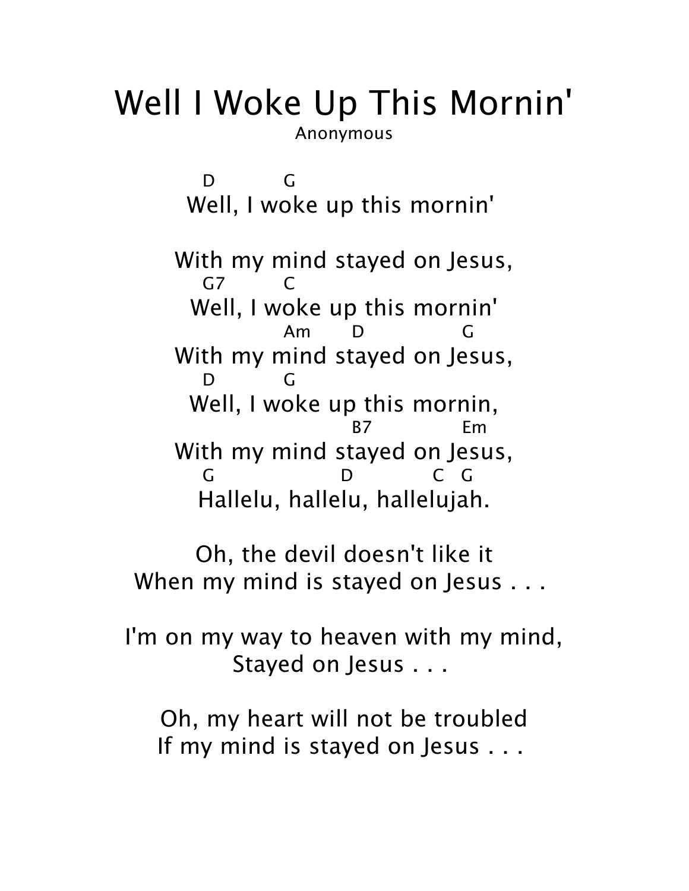## Well I Woke Up This Mornin' Anonymous

 $D$  G Well, I woke up this mornin'

With my mind stayed on Jesus, G7 C Well, I woke up this mornin' Am D G With my mind stayed on Jesus, D G Well, I woke up this mornin, B7 Em With my mind stayed on Jesus, G D C G Hallelu, hallelu, hallelujah.

Oh, the devil doesn't like it When my mind is stayed on Jesus . . .

I'm on my way to heaven with my mind, Stayed on Jesus . . .

Oh, my heart will not be troubled If my mind is stayed on Jesus . . .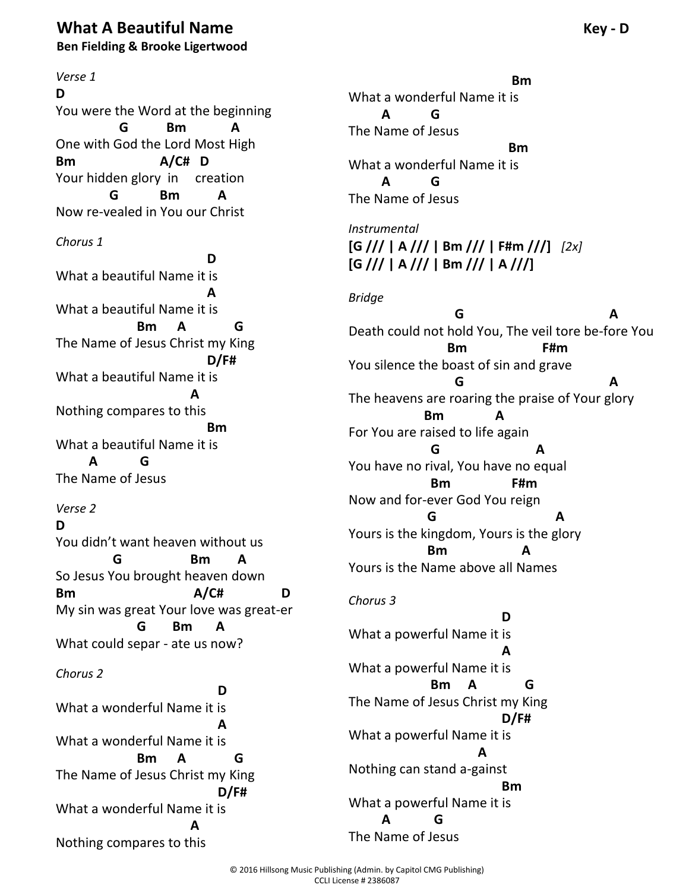### **What A Beautiful Name Key - D**

**Ben Fielding & Brooke Ligertwood**

*Verse 1* **D** You were the Word at the beginning  **G Bm A** One with God the Lord Most High **Bm A/C# D** Your hidden glory in creation  **G Bm A** Now re-vealed in You our Christ *Chorus 1*  **D** What a beautiful Name it is  **A** What a beautiful Name it is **Bm A G** The Name of Jesus Christ my King  **D/F#** What a beautiful Name it is  **A** Nothing compares to this  **Bm** What a beautiful Name it is  **A G** The Name of Jesus *Verse 2* **D** You didn't want heaven without us  **G Bm A** So Jesus You brought heaven down **Bm A/C# D**

My sin was great Your love was great-er  **G Bm A** What could separ - ate us now?

### *Chorus 2*

**D** What a wonderful Name it is *A* What a wonderful Name it is **Bm A G** The Name of Jesus Christ my King  **D/F#** What a wonderful Name it is  **A** Nothing compares to this

**Bm** Book and the state of the Bm What a wonderful Name it is  **A G** The Name of Jesus **Bm** Book and the Book and the Book What a wonderful Name it is  **A G** The Name of Jesus *Instrumental* **[G /// | A /// | Bm /// | F#m ///]** *[2x]* **[G /// | A /// | Bm /// | A ///]**  *Bridge* **G** A Death could not hold You, The veil tore be-fore You **Bm F#m** You silence the boast of sin and grave  **G A** The heavens are roaring the praise of Your glory  **Bm A** For You are raised to life again **G** A You have no rival, You have no equal  **Bm F#m** Now and for-ever God You reign  **G A** Yours is the kingdom, Yours is the glory  **Bm A** Yours is the Name above all Names *Chorus 3* **D** What a powerful Name it is  **A** What a powerful Name it is  **Bm A G** The Name of Jesus Christ my King  **D/F#** What a powerful Name it is  **A** Nothing can stand a-gainst **Bm** Bm Bm Bm Bm What a powerful Name it is  **A G** The Name of Jesus